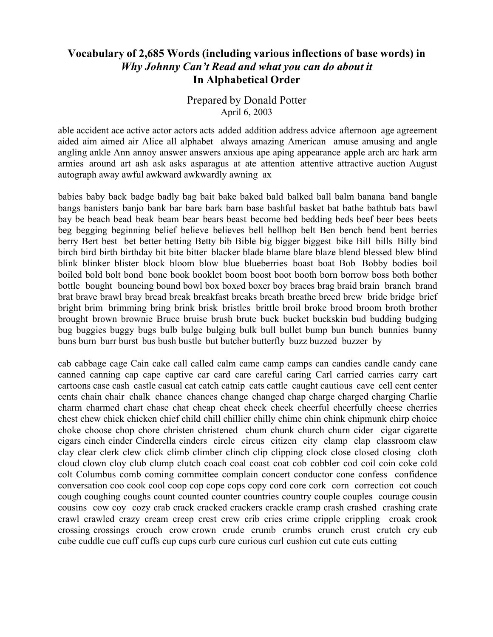#### **Vocabulary of 2,685 Words (including various inflections of base words) in** *Why Johnny Can't Read and what you can do about it* **In Alphabetical Order**

#### Prepared by Donald Potter April 6, 2003

able accident ace active actor actors acts added addition address advice afternoon age agreement aided aim aimed air Alice all alphabet always amazing American amuse amusing and angle angling ankle Ann annoy answer answers anxious ape aping appearance apple arch arc hark arm armies around art ash ask asks asparagus at ate attention attentive attractive auction August autograph away awful awkward awkwardly awning ax

babies baby back badge badly bag bait bake baked bald balked ball balm banana band bangle bangs banisters banjo bank bar bare bark barn base bashful basket bat bathe bathtub bats bawl bay be beach bead beak beam bear bears beast become bed bedding beds beef beer bees beets beg begging beginning belief believe believes bell bellhop belt Ben bench bend bent berries berry Bert best bet better betting Betty bib Bible big bigger biggest bike Bill bills Billy bind birch bird birth birthday bit bite bitter blacker blade blame blare blaze blend blessed blew blind blink blinker blister block bloom blow blue blueberries boast boat Bob Bobby bodies boil boiled bold bolt bond bone book booklet boom boost boot booth born borrow boss both bother bottle bought bouncing bound bowl box box*e*d boxer boy braces brag braid brain branch brand brat brave brawl bray bread break breakfast breaks breath breathe breed brew bride bridge brief bright brim brimming bring brink brisk bristles brittle broil broke brood broom broth brother brought brown brownie Bruce bruise brush brute buck bucket buckskin bud budding budging bug buggies buggy bugs bulb bulge bulging bulk bull bullet bump bun bunch bunnies bunny buns burn burr burst bus bush bustle but butcher butterfly buzz buzzed buzzer by

cab cabbage cage Cain cake call called calm came camp camps can candies candle candy cane canned canning cap cape captive car card care careful caring Carl carried carries carry cart cartoons case cash castle casual cat catch catnip cats cattle caught cautious cave cell cent center cents chain chair chalk chance chances change changed chap charge charged charging Charlie charm charmed chart chase chat cheap cheat check cheek cheerful cheerfully cheese cherries chest chew chick chicken chief child chill chillier chilly chime chin chink chipmunk chirp choice choke choose chop chore christen christened chum chunk church churn cider cigar cigarette cigars cinch cinder Cinderella cinders circle circus citizen city clamp clap classroom claw clay clear clerk clew click climb climber clinch clip clipping clock close closed closing cloth cloud clown cloy club clump clutch coach coal coast coat cob cobbler cod coil coin coke cold colt Columbus comb coming committee complain concert conductor cone confess confidence conversation coo cook cool coop cop cope cops copy cord core cork corn correction cot couch cough coughing coughs count counted counter countries country couple couples courage cousin cousins cow coy cozy crab crack cracked crackers crackle cramp crash crashed crashing crate crawl crawled crazy cream creep crest crew crib cries crime cripple crippling croak crook crossing crossings crouch crow crown crude crumb crumbs crunch crust crutch cry cub cube cuddle cue cuff cuffs cup cups curb cure curious curl cushion cut cute cuts cutting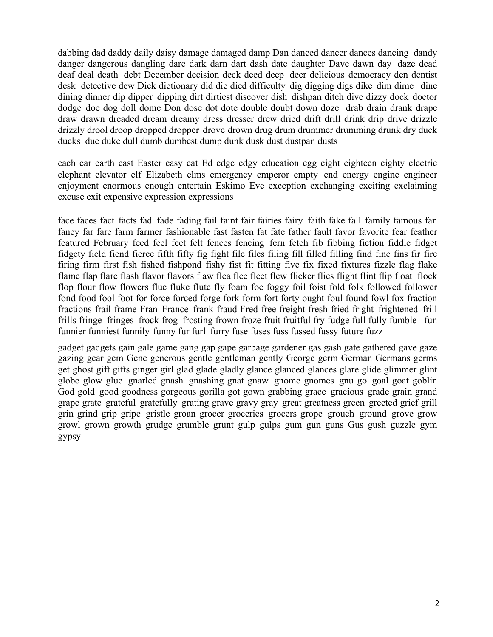dabbing dad daddy daily daisy damage damaged damp Dan danced dancer dances dancing dandy danger dangerous dangling dare dark darn dart dash date daughter Dave dawn day daze dead deaf deal death debt December decision deck deed deep deer delicious democracy den dentist desk detective dew Dick dictionary did die died difficulty dig digging digs dike dim dime dine dining dinner dip dipper dipping dirt dirtiest discover dish dishpan ditch dive dizzy dock doctor dodge doe dog doll dome Don dose dot dote double doubt down doze drab drain drank drape draw drawn dreaded dream dreamy dress dresser drew dried drift drill drink drip drive drizzle drizzly drool droop dropped dropper drove drown drug drum drummer drumming drunk dry duck ducks due duke dull dumb dumbest dump dunk dusk dust dustpan dusts

each ear earth east Easter easy eat Ed edge edgy education egg eight eighteen eighty electric elephant elevator elf Elizabeth elms emergency emperor empty end energy engine engineer enjoyment enormous enough entertain Eskimo Eve exception exchanging exciting exclaiming excuse exit expensive expression expressions

face faces fact facts fad fade fading fail faint fair fairies fairy faith fake fall family famous fan fancy far fare farm farmer fashionable fast fasten fat fate father fault favor favorite fear feather featured February feed feel feet felt fences fencing fern fetch fib fibbing fiction fiddle fidget fidgety field fiend fierce fifth fifty fig fight file files filing fill filled filling find fine fins fir fire firing firm first fish fished fishpond fishy fist fit fitting five fix fixed fixtures fizzle flag flake flame flap flare flash flavor flavors flaw flea flee fleet flew flicker flies flight flint flip float flock flop flour flow flowers flue fluke flute fly foam foe foggy foil foist fold folk followed follower fond food fool foot for force forced forge fork form fort forty ought foul found fowl fox fraction fractions frail frame Fran France frank fraud Fred free freight fresh fried fright frightened frill frills fringe fringes frock frog frosting frown froze fruit fruitful fry fudge full fully fumble fun funnier funniest funnily funny fur furl furry fuse fuses fuss fussed fussy future fuzz

gadget gadgets gain gale game gang gap gape garbage gardener gas gash gate gathered gave gaze gazing gear gem Gene generous gentle gentleman gently George germ German Germans germs get ghost gift gifts ginger girl glad glade gladly glance glanced glances glare glide glimmer glint globe glow glue gnarled gnash gnashing gnat gnaw gnome gnomes gnu go goal goat goblin God gold good goodness gorgeous gorilla got gown grabbing grace gracious grade grain grand grape grate grateful gratefully grating grave gravy gray great greatness green greeted grief grill grin grind grip gripe gristle groan grocer groceries grocers grope grouch ground grove grow growl grown growth grudge grumble grunt gulp gulps gum gun guns Gus gush guzzle gym gypsy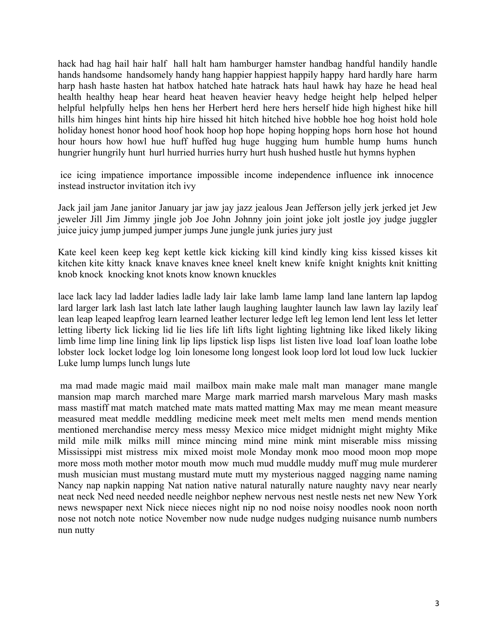hack had hag hail hair half hall halt ham hamburger hamster handbag handful handily handle hands handsome handsomely handy hang happier happiest happily happy hard hardly hare harm harp hash haste hasten hat hatbox hatched hate hatrack hats haul hawk hay haze he head heal health healthy heap hear heard heat heaven heavier heavy hedge height help helped helper helpful helpfully helps hen hens her Herbert herd here hers herself hide high highest hike hill hills him hinges hint hints hip hire hissed hit hitch hitched hive hobble hoe hog hoist hold hole holiday honest honor hood hoof hook hoop hop hope hoping hopping hops horn hose hot hound hour hours how howl hue huff huffed hug huge hugging hum humble hump hums hunch hungrier hungrily hunt hurl hurried hurries hurry hurt hush hushed hustle hut hymns hyphen

ice icing impatience importance impossible income independence influence ink innocence instead instructor invitation itch ivy

Jack jail jam Jane janitor January jar jaw jay jazz jealous Jean Jefferson jelly jerk jerked jet Jew jeweler Jill Jim Jimmy jingle job Joe John Johnny join joint joke jolt jostle joy judge juggler juice juicy jump jumped jumper jumps June jungle junk juries jury just

Kate keel keen keep keg kept kettle kick kicking kill kind kindly king kiss kissed kisses kit kitchen kite kitty knack knave knaves knee kneel knelt knew knife knight knights knit knitting knob knock knocking knot knots know known knuckles

lace lack lacy lad ladder ladies ladle lady lair lake lamb lame lamp land lane lantern lap lapdog lard larger lark lash last latch late lather laugh laughing laughter launch law lawn lay lazily leaf lean leap leaped leapfrog learn learned leather lecturer ledge left leg lemon lend lent less let letter letting liberty lick licking lid lie lies life lift lifts light lighting lightning like liked likely liking limb lime limp line lining link lip lips lipstick lisp lisps list listen live load loaf loan loathe lobe lobster lock locket lodge log loin lonesome long longest look loop lord lot loud low luck luckier Luke lump lumps lunch lungs lute

ma mad made magic maid mail mailbox main make male malt man manager mane mangle mansion map march marched mare Marge mark married marsh marvelous Mary mash masks mass mastiff mat match matched mate mats matted matting Max may me mean meant measure measured meat meddle meddling medicine meek meet melt melts men mend mends mention mentioned merchandise mercy mess messy Mexico mice midget midnight might mighty Mike mild mile milk milks mill mince mincing mind mine mink mint miserable miss missing Mississippi mist mistress mix mixed moist mole Monday monk moo mood moon mop mope more moss moth mother motor mouth mow much mud muddle muddy muff mug mule murderer mush musician must mustang mustard mute mutt my mysterious nagged nagging name naming Nancy nap napkin napping Nat nation native natural naturally nature naughty navy near nearly neat neck Ned need needed needle neighbor nephew nervous nest nestle nests net new New York news newspaper next Nick niece nieces night nip no nod noise noisy noodles nook noon north nose not notch note notice November now nude nudge nudges nudging nuisance numb numbers nun nutty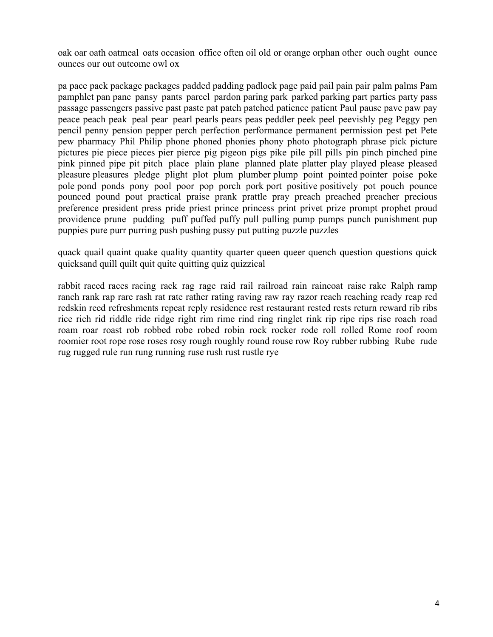oak oar oath oatmeal oats occasion office often oil old or orange orphan other ouch ought ounce ounces our out outcome owl ox

pa pace pack package packages padded padding padlock page paid pail pain pair palm palms Pam pamphlet pan pane pansy pants parcel pardon paring park parked parking part parties party pass passage passengers passive past paste pat patch patched patience patient Paul pause pave paw pay peace peach peak peal pear pearl pearls pears peas peddler peek peel peevishly peg Peggy pen pencil penny pension pepper perch perfection performance permanent permission pest pet Pete pew pharmacy Phil Philip phone phoned phonies phony photo photograph phrase pick picture pictures pie piece pieces pier pierce pig pigeon pigs pike pile pill pills pin pinch pinched pine pink pinned pipe pit pitch place plain plane planned plate platter play played please pleased pleasure pleasures pledge plight plot plum plumber plump point pointed pointer poise poke pole pond ponds pony pool poor pop porch pork port positive positively pot pouch pounce pounced pound pout practical praise prank prattle pray preach preached preacher precious preference president press pride priest prince princess print privet prize prompt prophet proud providence prune pudding puff puffed puffy pull pulling pump pumps punch punishment pup puppies pure purr purring push pushing pussy put putting puzzle puzzles

quack quail quaint quake quality quantity quarter queen queer quench question questions quick quicksand quill quilt quit quite quitting quiz quizzical

rabbit raced races racing rack rag rage raid rail railroad rain raincoat raise rake Ralph ramp ranch rank rap rare rash rat rate rather rating raving raw ray razor reach reaching ready reap red redskin reed refreshments repeat reply residence rest restaurant rested rests return reward rib ribs rice rich rid riddle ride ridge right rim rime rind ring ringlet rink rip ripe rips rise roach road roam roar roast rob robbed robe robed robin rock rocker rode roll rolled Rome roof room roomier root rope rose roses rosy rough roughly round rouse row Roy rubber rubbing Rube rude rug rugged rule run rung running ruse rush rust rustle rye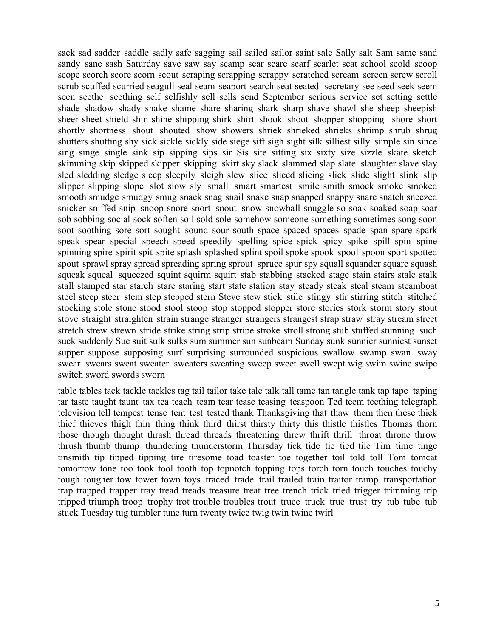sack sad sadder saddle sadly safe sagging sail sailed sailor saint sale Sally salt Sam same sand sandy sane sash Saturday save saw say scamp scar scare scarf scarlet scat school scold scoop scope scorch score scorn scout scraping scrapping scrappy scratched scream screen screw scroll scrub scuffed scurried seagull seal seam seaport search seat seated secretary see seed seek seem seen seethe seething self selfishly sell sells send September serious service set setting settle shade shadow shady shake shame share sharing shark sharp shave shawl she sheep sheepish sheer sheet shield shin shine shipping shirk shirt shook shoot shopper shopping shore short shortly shortness shout shouted show showers shriek shrieked shrieks shrimp shrub shrug shutters shutting shy sick sickle sickly side siege sift sigh sight silk silliest silly simple sin since sing singe single sink sip sipping sips sir Sis site sitting six sixty size sizzle skate sketch skimming skip skipped skipper skipping skirt sky slack slammed slap slate slaughter slave slay sled sledding sledge sleep sleepily sleigh slew slice sliced slicing slick slide slight slink slip slipper slipping slope slot slow sly small smart smartest smile smith smock smoke smoked smooth smudge smudgy smug snack snag snail snake snap snapped snappy snare snatch sneezed snicker sniffed snip snoop snore snort snout snow snowball snuggle so soak soaked soap soar sob sobbing social sock soften soil sold sole somehow someone something sometimes song soon soot soothing sore sort sought sound sour south space spaced spaces spade span spare spark speak spear special speech speed speedily spelling spice spick spicy spike spill spin spine spinning spire spirit spit spite splash splashed splint spoil spoke spook spool spoon sport spotted spout sprawl spray spread spreading spring sprout spruce spur spy squall squander square squash squeak squeal squeezed squint squirm squirt stab stabbing stacked stage stain stairs stale stalk stall stamped star starch stare staring start state station stay steady steak steal steam steamboat steel steep steer stem step stepped stern Steve stew stick stile stingy stir stirring stitch stitched stocking stole stone stood stool stoop stop stopped stopper store stories stork storm story stout stove straight straighten strain strange stranger strangers strangest strap straw stray stream street stretch strew strewn stride strike string strip stripe stroke stroll strong stub stuffed stunning such suck suddenly Sue suit sulk sulks sum summer sun sunbeam Sunday sunk sunnier sunniest sunset supper suppose supposing surf surprising surrounded suspicious swallow swamp swan sway swear swears sweat sweater sweaters sweating sweep sweet swell swept wig swim swine swipe switch sword swords sworn

table tables tack tackle tackles tag tail tailor take tale talk tall tame tan tangle tank tap tape taping tar taste taught taunt tax tea teach team tear tease teasing teaspoon Ted teem teething telegraph television tell tempest tense tent test tested thank Thanksgiving that thaw them then these thick thief thieves thigh thin thing think third thirst thirsty thirty this thistle thistles Thomas thorn those though thought thrash thread threads threatening threw thrift thrill throat throne throw thrush thumb thump thundering thunderstorm Thursday tick tide tie tied tile Tim time tinge tinsmith tip tipped tipping tire tiresome toad toaster toe together toil told toll Tom tomcat tomorrow tone too took tool tooth top topnotch topping tops torch torn touch touches touchy tough tougher tow tower town toys traced trade trail trailed train traitor tramp transportation trap trapped trapper tray tread treads treasure treat tree trench trick tried trigger trimming trip tripped triumph troop trophy trot trouble troubles trout truce truck true trust try tub tube tub stuck Tuesday tug tumbler tune turn twenty twice twig twin twine twirl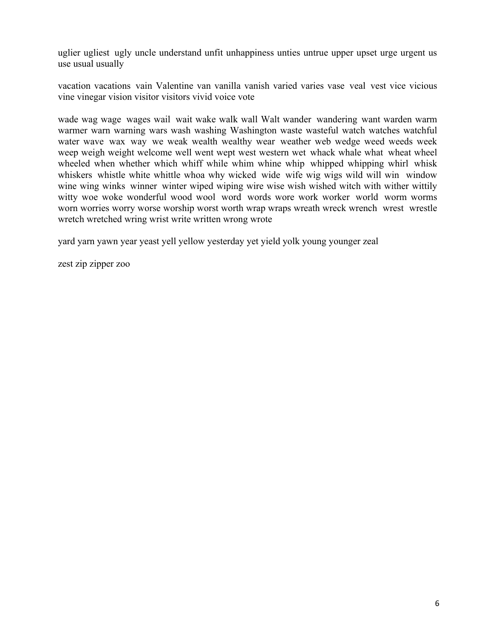uglier ugliest ugly uncle understand unfit unhappiness unties untrue upper upset urge urgent us use usual usually

vacation vacations vain Valentine van vanilla vanish varied varies vase veal vest vice vicious vine vinegar vision visitor visitors vivid voice vote

wade wag wage wages wail wait wake walk wall Walt wander wandering want warden warm warmer warn warning wars wash washing Washington waste wasteful watch watches watchful water wave wax way we weak wealth wealthy wear weather web wedge weed weeds week weep weigh weight welcome well went wept west western wet whack whale what wheat wheel wheeled when whether which whiff while whim whine whip whipped whipping whirl whisk whiskers whistle white whittle whoa why wicked wide wife wig wigs wild will win window wine wing winks winner winter wiped wiping wire wise wish wished witch with wither wittily witty woe woke wonderful wood wool word words wore work worker world worm worms worn worries worry worse worship worst worth wrap wraps wreath wreck wrench wrest wrestle wretch wretched wring wrist write written wrong wrote

yard yarn yawn year yeast yell yellow yesterday yet yield yolk young younger zeal

zest zip zipper zoo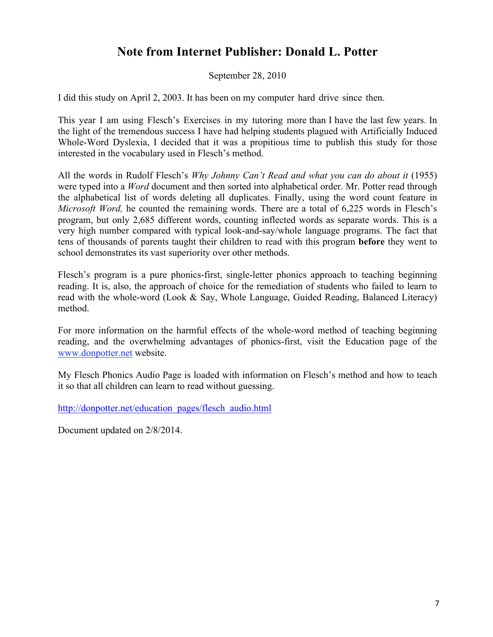## **Note from Internet Publisher: Donald L. Potter**

September 28, 2010

I did this study on April 2, 2003. It has been on my computer hard drive since then.

This year I am using Flesch's Exercises in my tutoring more than I have the last few years. In the light of the tremendous success I have had helping students plagued with Artificially Induced Whole-Word Dyslexia, I decided that it was a propitious time to publish this study for those interested in the vocabulary used in Flesch's method.

All the words in Rudolf Flesch's *Why Johnny Can't Read and what you can do about it* (1955) were typed into a *Word* document and then sorted into alphabetical order. Mr. Potter read through the alphabetical list of words deleting all duplicates. Finally, using the word count feature in *Microsoft Word,* he counted the remaining words. There are a total of 6,225 words in Flesch's program, but only 2,685 different words, counting inflected words as separate words. This is a very high number compared with typical look-and-say/whole language programs. The fact that tens of thousands of parents taught their children to read with this program **before** they went to school demonstrates its vast superiority over other methods.

Flesch's program is a pure phonics-first, single-letter phonics approach to teaching beginning reading. It is, also, the approach of choice for the remediation of students who failed to learn to read with the whole-word (Look & Say, Whole Language, Guided Reading, Balanced Literacy) method.

For more information on the harmful effects of the whole-word method of teaching beginning reading, and the overwhelming advantages of phonics-first, visit the Education page of the www.donpotter.net website.

My Flesch Phonics Audio Page is loaded with information on Flesch's method and how to teach it so that all children can learn to read without guessing.

http://donpotter.net/education\_pages/flesch\_audio.html

Document updated on 2/8/2014.